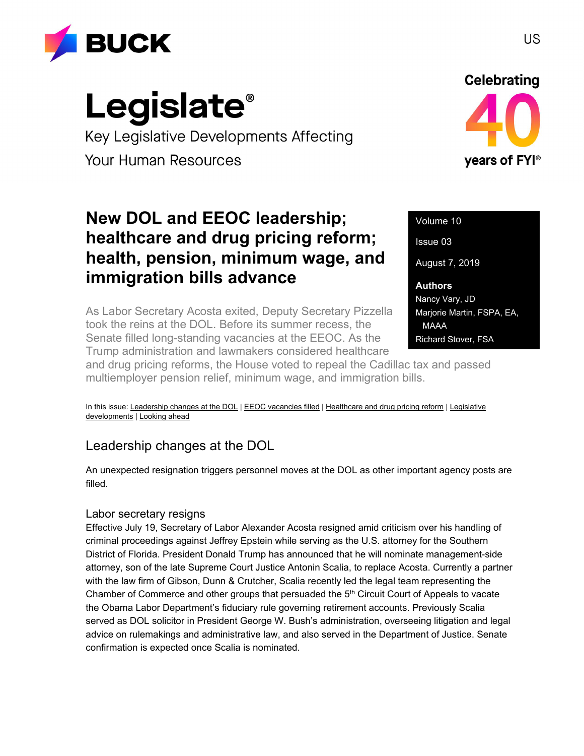

# **Legislate**®

Key Legislative Developments Affecting **Your Human Resources** 

# **Celebrating** years of FYI<sup>®</sup>

## **New DOL and EEOC leadership; healthcare and drug pricing reform; health, pension, minimum wage, and immigration bills advance**

As Labor Secretary Acosta exited, Deputy Secretary Pizzella took the reins at the DOL. Before its summer recess, the Senate filled long-standing vacancies at the EEOC. As the Trump administration and lawmakers considered healthcare

Volume 10 Issue 03 August 7, 2019 **Authors** Nancy Vary, JD Marjorie Martin, FSPA, EA, MAAA Richard Stover, FSA

and drug pricing reforms, the House voted to repeal the Cadillac tax and passed multiemployer pension relief, minimum wage, and immigration bills.

In this issue: [Leadership changes at the DOL](#page-0-0) | [EEOC vacancies filled](#page-1-0) | [Healthcare and drug pricing reform](#page-2-0) | Legislative [developments](#page-3-0) [| Looking ahead](#page-4-0)

## <span id="page-0-0"></span>Leadership changes at the DOL

An unexpected resignation triggers personnel moves at the DOL as other important agency posts are filled.

## Labor secretary resigns

Effective July 19, Secretary of Labor Alexander Acosta resigned amid criticism over his handling of criminal proceedings against Jeffrey Epstein while serving as the U.S. attorney for the Southern District of Florida. President Donald Trump has announced that he will nominate management-side attorney, son of the late Supreme Court Justice Antonin Scalia, to replace Acosta. Currently a partner with the law firm of Gibson, Dunn & Crutcher, Scalia recently led the legal team representing the Chamber of Commerce and other groups that persuaded the  $5<sup>th</sup>$  Circuit Court of Appeals to vacate the Obama Labor Department's fiduciary rule governing retirement accounts. Previously Scalia served as DOL solicitor in President George W. Bush's administration, overseeing litigation and legal advice on rulemakings and administrative law, and also served in the Department of Justice. Senate confirmation is expected once Scalia is nominated.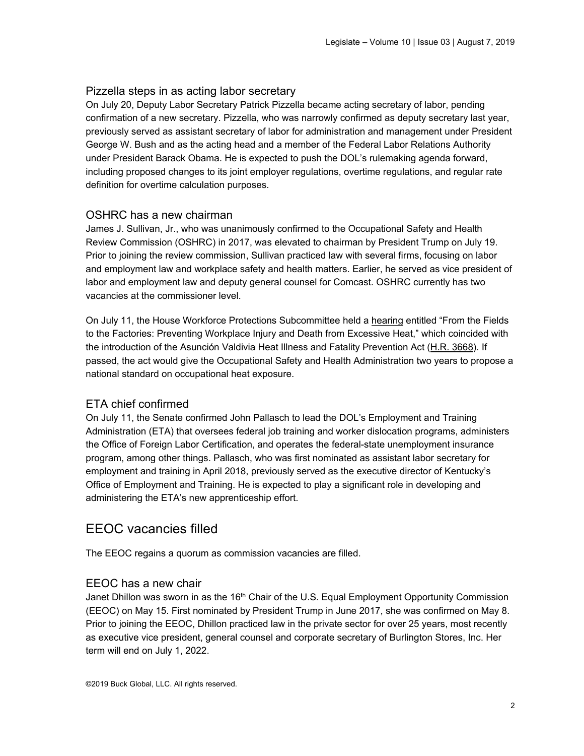## Pizzella steps in as acting labor secretary

On July 20, Deputy Labor Secretary Patrick Pizzella became acting secretary of labor, pending confirmation of a new secretary. Pizzella, who was narrowly confirmed as deputy secretary last year, previously served as assistant secretary of labor for administration and management under President George W. Bush and as the acting head and a member of the Federal Labor Relations Authority under President Barack Obama. He is expected to push the DOL's rulemaking agenda forward, including proposed changes to its joint employer regulations, overtime regulations, and regular rate definition for overtime calculation purposes.

## OSHRC has a new chairman

James J. Sullivan, Jr., who was unanimously confirmed to the Occupational Safety and Health Review Commission (OSHRC) in 2017, was elevated to chairman by President Trump on July 19. Prior to joining the review commission, Sullivan practiced law with several firms, focusing on labor and employment law and workplace safety and health matters. Earlier, he served as vice president of labor and employment law and deputy general counsel for Comcast. OSHRC currently has two vacancies at the commissioner level.

On July 11, the House Workforce Protections Subcommittee held a [hearing](https://edlabor.house.gov/hearings/from-the-fields-to-the-factories-preventing-workplace-injury-and-death-from-excessive-heat) entitled "From the Fields to the Factories: Preventing Workplace Injury and Death from Excessive Heat," which coincided with the introduction of the Asunción Valdivia Heat Illness and Fatality Prevention Act [\(H.R. 3668\)](https://www.congress.gov/bill/116th-congress/house-bill/3668/text?q=%7B%22search%22%3A%5B%22chamberActionDateCode%3A%5C%222019-07-10%7C116%7C1000%5C%22+AND+billIsReserved%3A%5C%22N%5C%22%22%5D%7D&r=8&s=10). If passed, the act would give the Occupational Safety and Health Administration two years to propose a national standard on occupational heat exposure.

## ETA chief confirmed

On July 11, the Senate confirmed John Pallasch to lead the DOL's Employment and Training Administration (ETA) that oversees federal job training and worker dislocation programs, administers the Office of Foreign Labor Certification, and operates the federal-state unemployment insurance program, among other things. Pallasch, who was first nominated as assistant labor secretary for employment and training in April 2018, previously served as the executive director of Kentucky's Office of Employment and Training. He is expected to play a significant role in developing and administering the ETA's new apprenticeship effort.

## <span id="page-1-0"></span>EEOC vacancies filled

The EEOC regains a quorum as commission vacancies are filled.

## EEOC has a new chair

Janet Dhillon was sworn in as the  $16<sup>th</sup>$  Chair of the U.S. Equal Employment Opportunity Commission (EEOC) on May 15. First nominated by President Trump in June 2017, she was confirmed on May 8. Prior to joining the EEOC, Dhillon practiced law in the private sector for over 25 years, most recently as executive vice president, general counsel and corporate secretary of Burlington Stores, Inc. Her term will end on July 1, 2022.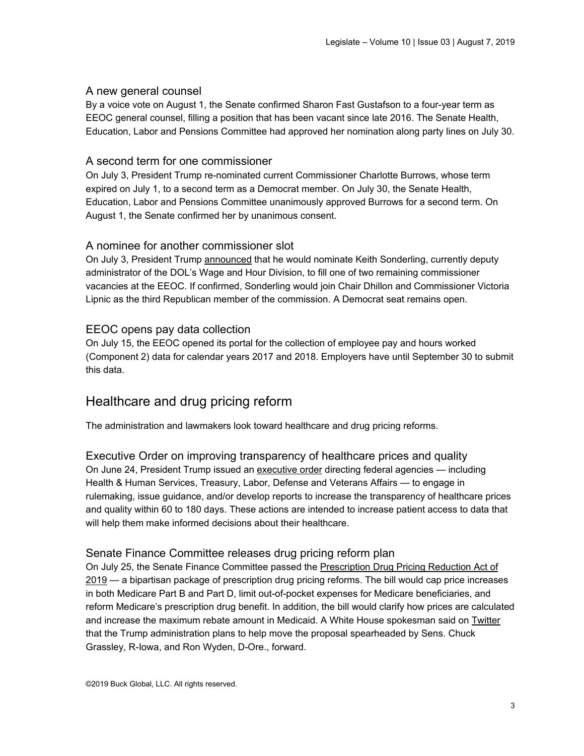## A new general counsel

By a voice vote on August 1, the Senate confirmed Sharon Fast Gustafson to a four-year term as EEOC general counsel, filling a position that has been vacant since late 2016. The Senate Health, Education, Labor and Pensions Committee had approved her nomination along party lines on July 30.

## A second term for one commissioner

On July 3, President Trump re-nominated current Commissioner Charlotte Burrows, whose term expired on July 1, to a second term as a Democrat member. On July 30, the Senate Health, Education, Labor and Pensions Committee unanimously approved Burrows for a second term. On August 1, the Senate confirmed her by unanimous consent.

## A nominee for another commissioner slot

On July 3, President Trump [announced](https://www.whitehouse.gov/presidential-actions/president-donald-j-trump-announces-intent-nominate-personnel-key-administration-posts-75/) that he would nominate Keith Sonderling, currently deputy administrator of the DOL's Wage and Hour Division, to fill one of two remaining commissioner vacancies at the EEOC. If confirmed, Sonderling would join Chair Dhillon and Commissioner Victoria Lipnic as the third Republican member of the commission. A Democrat seat remains open.

## EEOC opens pay data collection

On July 15, the EEOC opened its portal for the collection of employee pay and hours worked (Component 2) data for calendar years 2017 and 2018. Employers have until September 30 to submit this data.

## <span id="page-2-0"></span>Healthcare and drug pricing reform

The administration and lawmakers look toward healthcare and drug pricing reforms.

Executive Order on improving transparency of healthcare prices and quality On June 24, President Trump issued an [executive order](https://www.whitehouse.gov/presidential-actions/executive-order-improving-price-quality-transparency-american-healthcare-put-patients-first/) directing federal agencies — including Health & Human Services, Treasury, Labor, Defense and Veterans Affairs — to engage in rulemaking, issue guidance, and/or develop reports to increase the transparency of healthcare prices and quality within 60 to 180 days. These actions are intended to increase patient access to data that will help them make informed decisions about their healthcare.

### Senate Finance Committee releases drug pricing reform plan

On July 25, the Senate Finance Committee passed the [Prescription Drug Pricing Reduction Act of](https://www.finance.senate.gov/imo/media/doc/FINAL%20Description%20of%20the%20Chairman)  [2019](https://www.finance.senate.gov/imo/media/doc/FINAL%20Description%20of%20the%20Chairman) — a bipartisan package of prescription drug pricing reforms. The bill would cap price increases in both Medicare Part B and Part D, limit out-of-pocket expenses for Medicare beneficiaries, and reform Medicare's prescription drug benefit. In addition, the bill would clarify how prices are calculated and increase the maximum rebate amount in Medicaid. A White House spokesman said on [Twitter](https://twitter.com/JuddPDeere45/status/1153738182720180225?s=20) that the Trump administration plans to help move the proposal spearheaded by Sens. Chuck Grassley, R-Iowa, and Ron Wyden, D-Ore., forward.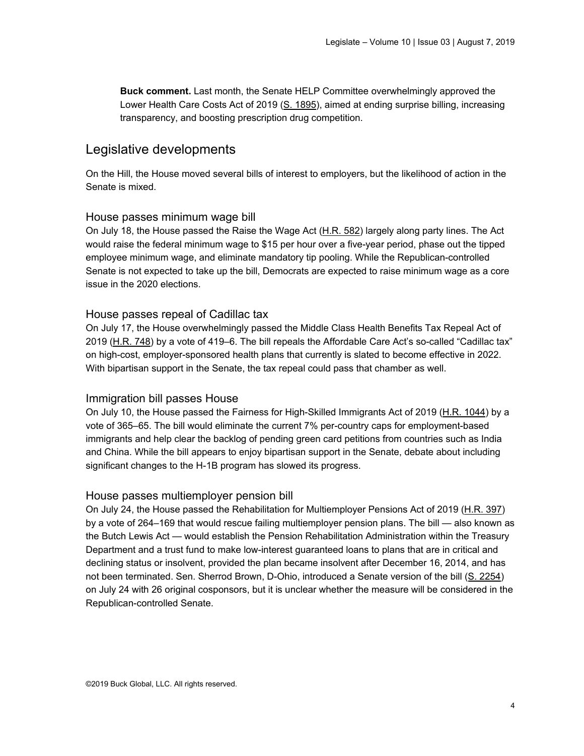**Buck comment.** Last month, the Senate HELP Committee overwhelmingly approved the Lower Health Care Costs Act of 2019 [\(S. 1895\)](https://www.congress.gov/116/bills/s1895/BILLS-116s1895rs.pdf), aimed at ending surprise billing, increasing transparency, and boosting prescription drug competition.

## <span id="page-3-0"></span>Legislative developments

On the Hill, the House moved several bills of interest to employers, but the likelihood of action in the Senate is mixed.

#### House passes minimum wage bill

On July 18, the House passed the Raise the Wage Act [\(H.R. 582\)](https://www.congress.gov/116/bills/hr582/BILLS-116hr582eh.pdf) largely along party lines. The Act would raise the federal minimum wage to \$15 per hour over a five-year period, phase out the tipped employee minimum wage, and eliminate mandatory tip pooling. While the Republican-controlled Senate is not expected to take up the bill, Democrats are expected to raise minimum wage as a core issue in the 2020 elections.

#### House passes repeal of Cadillac tax

On July 17, the House overwhelmingly passed the Middle Class Health Benefits Tax Repeal Act of 2019 [\(H.R. 748\)](https://www.congress.gov/116/bills/hr748/BILLS-116hr748pcs.pdf) by a vote of 419–6. The bill repeals the Affordable Care Act's so-called "Cadillac tax" on high-cost, employer-sponsored health plans that currently is slated to become effective in 2022. With bipartisan support in the Senate, the tax repeal could pass that chamber as well.

#### Immigration bill passes House

On July 10, the House passed the Fairness for High-Skilled Immigrants Act of 2019 [\(H.R. 1044\)](https://www.congress.gov/116/bills/hr1044/BILLS-116hr1044rfs.pdf) by a vote of 365–65. The bill would eliminate the current 7% per-country caps for employment-based immigrants and help clear the backlog of pending green card petitions from countries such as India and China. While the bill appears to enjoy bipartisan support in the Senate, debate about including significant changes to the H-1B program has slowed its progress.

#### House passes multiemployer pension bill

On July 24, the House passed the Rehabilitation for Multiemployer Pensions Act of 2019 [\(H.R. 397\)](https://www.congress.gov/bill/116th-congress/house-bill/397/text) by a vote of 264–169 that would rescue failing multiemployer pension plans. The bill — also known as the Butch Lewis Act — would establish the Pension Rehabilitation Administration within the Treasury Department and a trust fund to make low-interest guaranteed loans to plans that are in critical and declining status or insolvent, provided the plan became insolvent after December 16, 2014, and has not been terminated. Sen. Sherrod Brown, D-Ohio, introduced a Senate version of the bill [\(S. 2254\)](https://www.congress.gov/bill/116th-congress/senate-bill/2254/text?r=1) on July 24 with 26 original cosponsors, but it is unclear whether the measure will be considered in the Republican-controlled Senate.